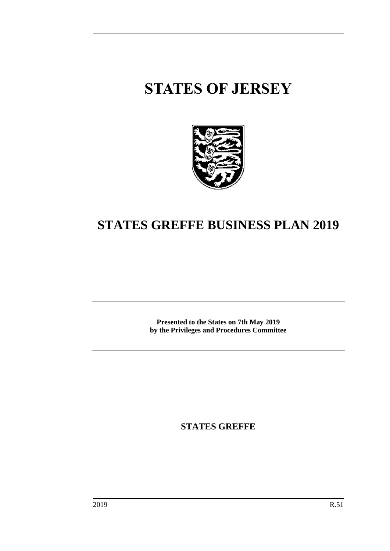# **STATES OF JERSEY**



# **STATES GREFFE BUSINESS PLAN 2019**

**Presented to the States on 7th May 2019 by the Privileges and Procedures Committee**

**STATES GREFFE**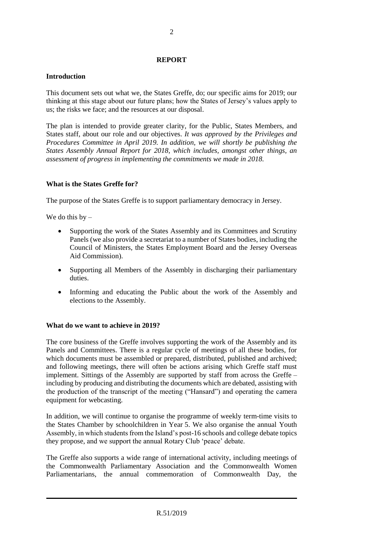#### **REPORT**

### **Introduction**

This document sets out what we, the States Greffe, do; our specific aims for 2019; our thinking at this stage about our future plans; how the States of Jersey's values apply to us; the risks we face; and the resources at our disposal.

The plan is intended to provide greater clarity, for the Public, States Members, and States staff, about our role and our objectives. *It was approved by the Privileges and Procedures Committee in April 2019. In addition, we will shortly be publishing the States Assembly Annual Report for 2018, which includes, amongst other things, an assessment of progress in implementing the commitments we made in 2018.*

### **What is the States Greffe for?**

The purpose of the States Greffe is to support parliamentary democracy in Jersey.

We do this  $by -$ 

- Supporting the work of the States Assembly and its Committees and Scrutiny Panels (we also provide a secretariat to a number of States bodies, including the Council of Ministers, the States Employment Board and the Jersey Overseas Aid Commission).
- Supporting all Members of the Assembly in discharging their parliamentary duties.
- Informing and educating the Public about the work of the Assembly and elections to the Assembly.

# **What do we want to achieve in 2019?**

The core business of the Greffe involves supporting the work of the Assembly and its Panels and Committees. There is a regular cycle of meetings of all these bodies, for which documents must be assembled or prepared, distributed, published and archived; and following meetings, there will often be actions arising which Greffe staff must implement. Sittings of the Assembly are supported by staff from across the Greffe – including by producing and distributing the documents which are debated, assisting with the production of the transcript of the meeting ("Hansard") and operating the camera equipment for webcasting.

In addition, we will continue to organise the programme of weekly term-time visits to the States Chamber by schoolchildren in Year 5. We also organise the annual Youth Assembly, in which students from the Island's post-16 schools and college debate topics they propose, and we support the annual Rotary Club 'peace' debate.

The Greffe also supports a wide range of international activity, including meetings of the Commonwealth Parliamentary Association and the Commonwealth Women Parliamentarians, the annual commemoration of Commonwealth Day, the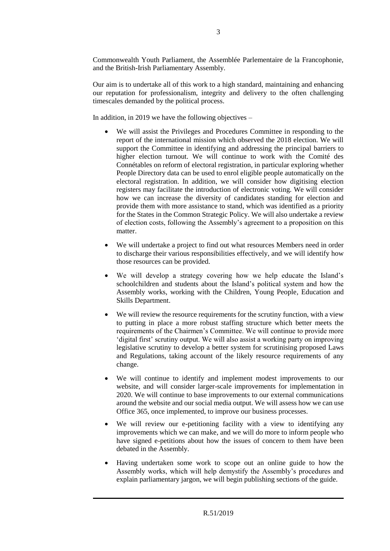Commonwealth Youth Parliament, the Assemblée Parlementaire de la Francophonie, and the British-Irish Parliamentary Assembly.

Our aim is to undertake all of this work to a high standard, maintaining and enhancing our reputation for professionalism, integrity and delivery to the often challenging timescales demanded by the political process.

In addition, in 2019 we have the following objectives –

- We will assist the Privileges and Procedures Committee in responding to the report of the international mission which observed the 2018 election. We will support the Committee in identifying and addressing the principal barriers to higher election turnout. We will continue to work with the Comité des Connétables on reform of electoral registration, in particular exploring whether People Directory data can be used to enrol eligible people automatically on the electoral registration. In addition, we will consider how digitising election registers may facilitate the introduction of electronic voting. We will consider how we can increase the diversity of candidates standing for election and provide them with more assistance to stand, which was identified as a priority for the States in the Common Strategic Policy. We will also undertake a review of election costs, following the Assembly's agreement to a proposition on this matter.
- We will undertake a project to find out what resources Members need in order to discharge their various responsibilities effectively, and we will identify how those resources can be provided.
- We will develop a strategy covering how we help educate the Island's schoolchildren and students about the Island's political system and how the Assembly works, working with the Children, Young People, Education and Skills Department.
- We will review the resource requirements for the scrutiny function, with a view to putting in place a more robust staffing structure which better meets the requirements of the Chairmen's Committee. We will continue to provide more 'digital first' scrutiny output. We will also assist a working party on improving legislative scrutiny to develop a better system for scrutinising proposed Laws and Regulations, taking account of the likely resource requirements of any change.
- We will continue to identify and implement modest improvements to our website, and will consider larger-scale improvements for implementation in 2020. We will continue to base improvements to our external communications around the website and our social media output. We will assess how we can use Office 365, once implemented, to improve our business processes.
- We will review our e-petitioning facility with a view to identifying any improvements which we can make, and we will do more to inform people who have signed e-petitions about how the issues of concern to them have been debated in the Assembly.
- Having undertaken some work to scope out an online guide to how the Assembly works, which will help demystify the Assembly's procedures and explain parliamentary jargon, we will begin publishing sections of the guide.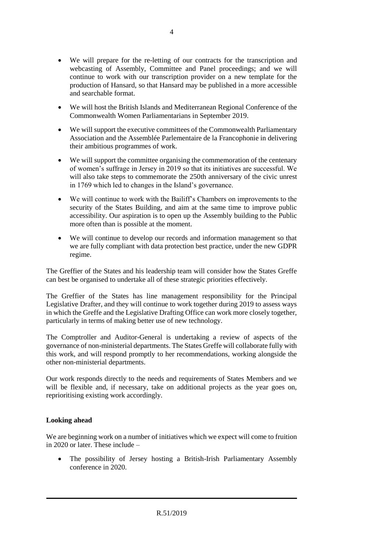- We will prepare for the re-letting of our contracts for the transcription and webcasting of Assembly, Committee and Panel proceedings; and we will continue to work with our transcription provider on a new template for the production of Hansard, so that Hansard may be published in a more accessible and searchable format.
- We will host the British Islands and Mediterranean Regional Conference of the Commonwealth Women Parliamentarians in September 2019.
- We will support the executive committees of the Commonwealth Parliamentary Association and the Assemblée Parlementaire de la Francophonie in delivering their ambitious programmes of work.
- We will support the committee organising the commemoration of the centenary of women's suffrage in Jersey in 2019 so that its initiatives are successful. We will also take steps to commemorate the 250th anniversary of the civic unrest in 1769 which led to changes in the Island's governance.
- We will continue to work with the Bailiff's Chambers on improvements to the security of the States Building, and aim at the same time to improve public accessibility. Our aspiration is to open up the Assembly building to the Public more often than is possible at the moment.
- We will continue to develop our records and information management so that we are fully compliant with data protection best practice, under the new GDPR regime.

The Greffier of the States and his leadership team will consider how the States Greffe can best be organised to undertake all of these strategic priorities effectively.

The Greffier of the States has line management responsibility for the Principal Legislative Drafter, and they will continue to work together during 2019 to assess ways in which the Greffe and the Legislative Drafting Office can work more closely together, particularly in terms of making better use of new technology.

The Comptroller and Auditor-General is undertaking a review of aspects of the governance of non-ministerial departments. The States Greffe will collaborate fully with this work, and will respond promptly to her recommendations, working alongside the other non-ministerial departments.

Our work responds directly to the needs and requirements of States Members and we will be flexible and, if necessary, take on additional projects as the year goes on, reprioritising existing work accordingly.

# **Looking ahead**

We are beginning work on a number of initiatives which we expect will come to fruition in 2020 or later. These include –

 The possibility of Jersey hosting a British-Irish Parliamentary Assembly conference in 2020.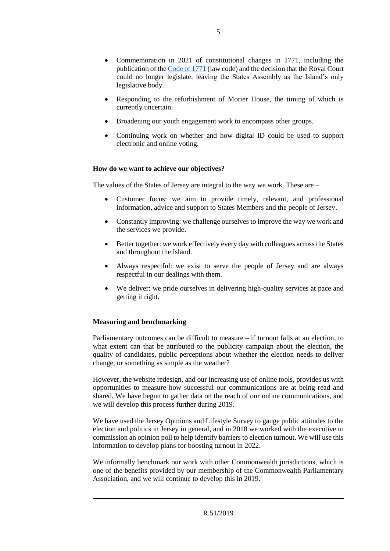- Commemoration in 2021 of constitutional changes in 1771, including the publication of th[e Code of 1771](https://www.jerseylaw.je/laws/revised/Pages/15.120.aspx) (law code) and the decision that the Royal Court could no longer legislate, leaving the States Assembly as the Island's only legislative body.
- Responding to the refurbishment of Morier House, the timing of which is currently uncertain.
- Broadening our youth engagement work to encompass other groups.
- Continuing work on whether and how digital ID could be used to support electronic and online voting.

### **How do we want to achieve our objectives?**

The values of the States of Jersey are integral to the way we work. These are –

- Customer focus: we aim to provide timely, relevant, and professional information, advice and support to States Members and the people of Jersey.
- Constantly improving: we challenge ourselves to improve the way we work and the services we provide.
- Better together: we work effectively every day with colleagues across the States and throughout the Island.
- Always respectful: we exist to serve the people of Jersey and are always respectful in our dealings with them.
- We deliver: we pride ourselves in delivering high-quality services at pace and getting it right.

#### **Measuring and benchmarking**

Parliamentary outcomes can be difficult to measure – if turnout falls at an election, to what extent can that be attributed to the publicity campaign about the election, the quality of candidates, public perceptions about whether the election needs to deliver change, or something as simple as the weather?

However, the website redesign, and our increasing use of online tools, provides us with opportunities to measure how successful our communications are at being read and shared. We have begun to gather data on the reach of our online communications, and we will develop this process further during 2019.

We have used the Jersey Opinions and Lifestyle Survey to gauge public attitudes to the election and politics in Jersey in general, and in 2018 we worked with the executive to commission an opinion poll to help identify barriers to election turnout. We will use this information to develop plans for boosting turnout in 2022.

We informally benchmark our work with other Commonwealth jurisdictions, which is one of the benefits provided by our membership of the Commonwealth Parliamentary Association, and we will continue to develop this in 2019.